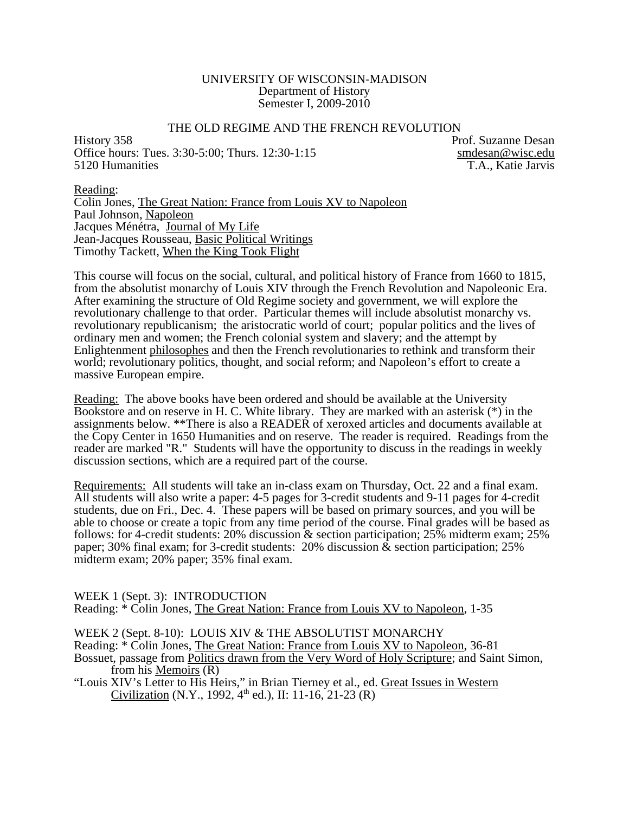## UNIVERSITY OF WISCONSIN-MADISON Department of History Semester I, 2009-2010

## THE OLD REGIME AND THE FRENCH REVOLUTION

History 358 Prof. Suzanne Desan Office hours: Tues. 3:30-5:00; Thurs. 12:30-1:15 smdesan@wisc.edu 5120 Humanities T.A., Katie Jarvis

Reading: Colin Jones, The Great Nation: France from Louis XV to Napoleon Paul Johnson, Napoleon Jacques Ménétra, Journal of My Life Jean-Jacques Rousseau, Basic Political Writings Timothy Tackett, When the King Took Flight

This course will focus on the social, cultural, and political history of France from 1660 to 1815, from the absolutist monarchy of Louis XIV through the French Revolution and Napoleonic Era. After examining the structure of Old Regime society and government, we will explore the revolutionary challenge to that order. Particular themes will include absolutist monarchy vs. revolutionary republicanism; the aristocratic world of court; popular politics and the lives of ordinary men and women; the French colonial system and slavery; and the attempt by Enlightenment philosophes and then the French revolutionaries to rethink and transform their world; revolutionary politics, thought, and social reform; and Napoleon's effort to create a massive European empire.

Reading: The above books have been ordered and should be available at the University Bookstore and on reserve in H. C. White library. They are marked with an asterisk  $(*)$  in the assignments below. \*\*There is also a READER of xeroxed articles and documents available at the Copy Center in 1650 Humanities and on reserve. The reader is required. Readings from the reader are marked "R." Students will have the opportunity to discuss in the readings in weekly discussion sections, which are a required part of the course.

Requirements: All students will take an in-class exam on Thursday, Oct. 22 and a final exam. All students will also write a paper: 4-5 pages for 3-credit students and 9-11 pages for 4-credit students, due on Fri., Dec. 4. These papers will be based on primary sources, and you will be able to choose or create a topic from any time period of the course. Final grades will be based as follows: for 4-credit students: 20% discussion & section participation; 25% midterm exam; 25% paper; 30% final exam; for 3-credit students: 20% discussion  $\&$  section participation; 25% midterm exam; 20% paper; 35% final exam.

WEEK 1 (Sept. 3): INTRODUCTION Reading: \* Colin Jones, The Great Nation: France from Louis XV to Napoleon, 1-35

WEEK 2 (Sept. 8-10): LOUIS XIV & THE ABSOLUTIST MONARCHY Reading: \* Colin Jones, The Great Nation: France from Louis XV to Napoleon, 36-81 Bossuet, passage from Politics drawn from the Very Word of Holy Scripture; and Saint Simon, from his Memoirs (R)

"Louis XIV's Letter to His Heirs," in Brian Tierney et al., ed. Great Issues in Western Civilization (N.Y., 1992,  $4^{th}$  ed.), II: 11-16, 21-23 (R)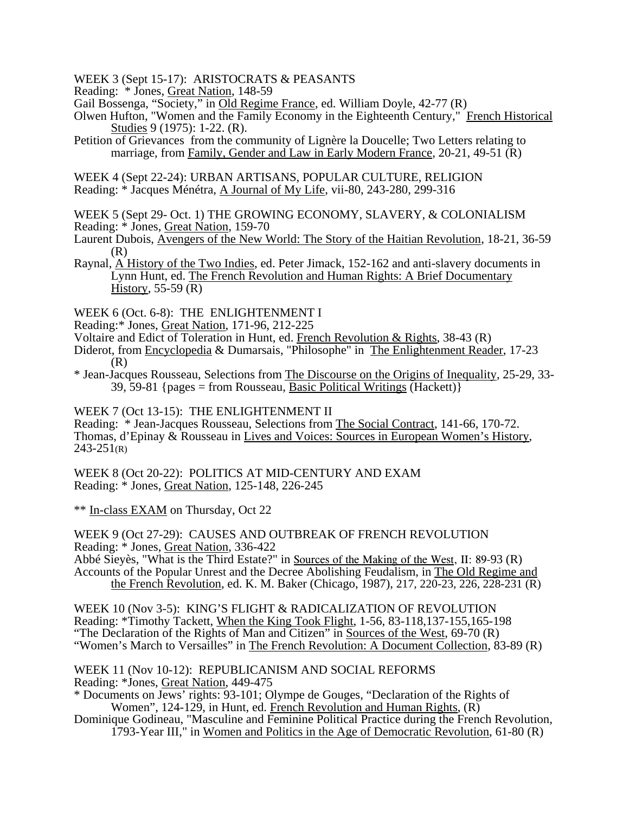WEEK 3 (Sept 15-17): ARISTOCRATS & PEASANTS

Reading: \* Jones, Great Nation, 148-59

Gail Bossenga, "Society," in Old Regime France, ed. William Doyle, 42-77 (R)

Olwen Hufton, "Women and the Family Economy in the Eighteenth Century," French Historical Studies 9 (1975): 1-22. (R).

Petition of Grievances from the community of Lignère la Doucelle; Two Letters relating to marriage, from Family, Gender and Law in Early Modern France, 20-21, 49-51 (R)

WEEK 4 (Sept 22-24): URBAN ARTISANS, POPULAR CULTURE, RELIGION Reading: \* Jacques Ménétra, A Journal of My Life, vii-80, 243-280, 299-316

WEEK 5 (Sept 29- Oct. 1) THE GROWING ECONOMY, SLAVERY, & COLONIALISM Reading: \* Jones, Great Nation, 159-70

Laurent Dubois, Avengers of the New World: The Story of the Haitian Revolution, 18-21, 36-59 (R)

Raynal, A History of the Two Indies, ed. Peter Jimack, 152-162 and anti-slavery documents in Lynn Hunt, ed. The French Revolution and Human Rights: A Brief Documentary History,  $55-59$  (R)

WEEK 6 (Oct. 6-8): THE ENLIGHTENMENT I

Reading:\* Jones, Great Nation, 171-96, 212-225

Voltaire and Edict of Toleration in Hunt, ed. French Revolution & Rights,  $38-43$  (R)

Diderot, from Encyclopedia & Dumarsais, "Philosophe" in The Enlightenment Reader, 17-23 (R)

\* Jean-Jacques Rousseau, Selections from The Discourse on the Origins of Inequality, 25-29, 33- 39, 59-81 {pages = from Rousseau, Basic Political Writings (Hackett)}

WEEK 7 (Oct 13-15): THE ENLIGHTENMENT II

Reading: \* Jean-Jacques Rousseau, Selections from The Social Contract, 141-66, 170-72. Thomas, d'Epinay & Rousseau in Lives and Voices: Sources in European Women's History,  $243 - 251(R)$ 

WEEK 8 (Oct 20-22): POLITICS AT MID-CENTURY AND EXAM Reading: \* Jones, Great Nation, 125-148, 226-245

\*\* In-class EXAM on Thursday, Oct 22

WEEK 9 (Oct 27-29): CAUSES AND OUTBREAK OF FRENCH REVOLUTION Reading: \* Jones, Great Nation, 336-422

Abbé Sieyès, "What is the Third Estate?" in Sources of the Making of the West, II: 89-93 (R) Accounts of the Popular Unrest and the Decree Abolishing Feudalism, in The Old Regime and the French Revolution, ed. K. M. Baker (Chicago, 1987), 217, 220-23, 226, 228-231 (R)

WEEK 10 (Nov 3-5): KING'S FLIGHT & RADICALIZATION OF REVOLUTION Reading: \*Timothy Tackett, When the King Took Flight, 1-56, 83-118,137-155,165-198 "The Declaration of the Rights of Man and Citizen" in Sources of the West, 69-70 (R) "Women's March to Versailles" in The French Revolution: A Document Collection, 83-89 (R)

WEEK 11 (Nov 10-12): REPUBLICANISM AND SOCIAL REFORMS Reading: \*Jones, Great Nation, 449-475

\* Documents on Jews' rights: 93-101; Olympe de Gouges, "Declaration of the Rights of Women", 124-129, in Hunt, ed. French Revolution and Human Rights, (R)

Dominique Godineau, "Masculine and Feminine Political Practice during the French Revolution, 1793-Year III," in Women and Politics in the Age of Democratic Revolution, 61-80 (R)